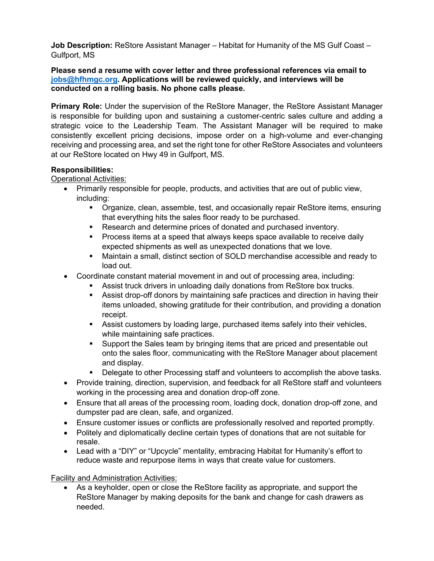**Job Description:** ReStore Assistant Manager – Habitat for Humanity of the MS Gulf Coast – Gulfport, MS

**Please send a resume with cover letter and three professional references via email to [jobs@hfhmgc.org.](mailto:jobs@hfhmgc.org) Applications will be reviewed quickly, and interviews will be conducted on a rolling basis. No phone calls please.**

**Primary Role:** Under the supervision of the ReStore Manager, the ReStore Assistant Manager is responsible for building upon and sustaining a customer-centric sales culture and adding a strategic voice to the Leadership Team. The Assistant Manager will be required to make consistently excellent pricing decisions, impose order on a high-volume and ever-changing receiving and processing area, and set the right tone for other ReStore Associates and volunteers at our ReStore located on Hwy 49 in Gulfport, MS.

# **Responsibilities:**

# Operational Activities:

- Primarily responsible for people, products, and activities that are out of public view, including:
	- Organize, clean, assemble, test, and occasionally repair ReStore items, ensuring that everything hits the sales floor ready to be purchased.
	- Research and determine prices of donated and purchased inventory.
	- **Process items at a speed that always keeps space available to receive daily** expected shipments as well as unexpected donations that we love.
	- Maintain a small, distinct section of SOLD merchandise accessible and ready to load out.
- Coordinate constant material movement in and out of processing area, including:
	- Assist truck drivers in unloading daily donations from ReStore box trucks.
	- Assist drop-off donors by maintaining safe practices and direction in having their items unloaded, showing gratitude for their contribution, and providing a donation receipt.
	- Assist customers by loading large, purchased items safely into their vehicles, while maintaining safe practices.
	- Support the Sales team by bringing items that are priced and presentable out onto the sales floor, communicating with the ReStore Manager about placement and display.
	- Delegate to other Processing staff and volunteers to accomplish the above tasks.
- Provide training, direction, supervision, and feedback for all ReStore staff and volunteers working in the processing area and donation drop-off zone.
- Ensure that all areas of the processing room, loading dock, donation drop-off zone, and dumpster pad are clean, safe, and organized.
- Ensure customer issues or conflicts are professionally resolved and reported promptly.
- Politely and diplomatically decline certain types of donations that are not suitable for resale.
- Lead with a "DIY" or "Upcycle" mentality, embracing Habitat for Humanity's effort to reduce waste and repurpose items in ways that create value for customers.

## Facility and Administration Activities:

• As a keyholder, open or close the ReStore facility as appropriate, and support the ReStore Manager by making deposits for the bank and change for cash drawers as needed.